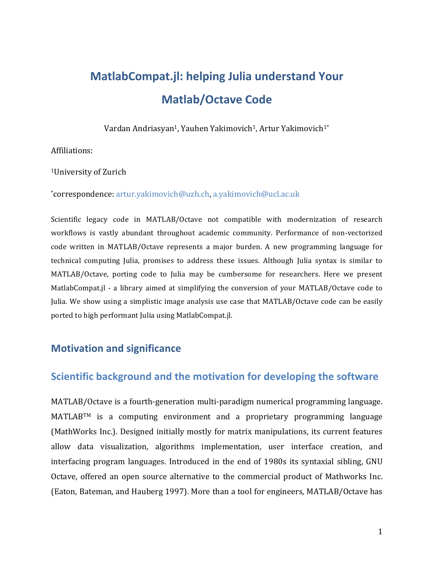# **MatlabCompat.jl: helping Julia understand Your Matlab/Octave Code**

Vardan Andriasyan<sup>1</sup>, Yauhen Yakimovich<sup>1</sup>, Artur Yakimovich<sup>1\*</sup>

Affiliations:

<sup>1</sup>University of Zurich

\*correspondence: artur.yakimovich@uzh.ch, a.yakimovich@ucl.ac.uk

Scientific legacy code in MATLAB/Octave not compatible with modernization of research workflows is vastly abundant throughout academic community. Performance of non-vectorized code written in MATLAB/Octave represents a major burden. A new programming language for technical computing Julia, promises to address these issues. Although Julia syntax is similar to MATLAB/Octave, porting code to Julia may be cumbersome for researchers. Here we present MatlabCompat.jl - a library aimed at simplifying the conversion of your MATLAB/Octave code to Julia. We show using a simplistic image analysis use case that MATLAB/Octave code can be easily ported to high performant Julia using MatlabCompat.jl.

#### **Motivation and significance**

#### **Scientific background and the motivation for developing the software**

MATLAB/Octave is a fourth-generation multi-paradigm numerical programming language.  $MATLAB<sup>TM</sup>$  is a computing environment and a proprietary programming language (MathWorks Inc.). Designed initially mostly for matrix manipulations, its current features allow data visualization, algorithms implementation, user interface creation, and interfacing program languages. Introduced in the end of 1980s its syntaxial sibling, GNU Octave, offered an open source alternative to the commercial product of Mathworks Inc. (Eaton, Bateman, and Hauberg 1997). More than a tool for engineers, MATLAB/Octave has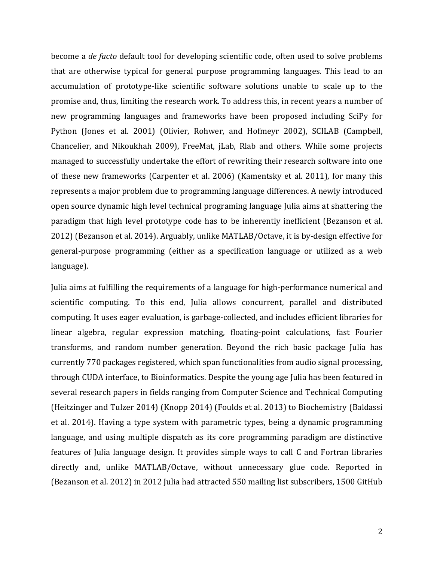become a *de facto* default tool for developing scientific code, often used to solve problems that are otherwise typical for general purpose programming languages. This lead to an accumulation of prototype-like scientific software solutions unable to scale up to the promise and, thus, limiting the research work. To address this, in recent years a number of new programming languages and frameworks have been proposed including SciPy for Python (Jones et al. 2001) (Olivier, Rohwer, and Hofmeyr 2002), SCILAB (Campbell, Chancelier, and Nikoukhah 2009), FreeMat, *jLab*, Rlab and others. While some projects managed to successfully undertake the effort of rewriting their research software into one of these new frameworks (Carpenter et al. 2006) (Kamentsky et al. 2011), for many this represents a major problem due to programming language differences. A newly introduced open source dynamic high level technical programing language Julia aims at shattering the paradigm that high level prototype code has to be inherently inefficient (Bezanson et al. 2012) (Bezanson et al. 2014). Arguably, unlike MATLAB/Octave, it is by-design effective for general-purpose programming (either as a specification language or utilized as a web language).

Julia aims at fulfilling the requirements of a language for high-performance numerical and scientific computing. To this end, Julia allows concurrent, parallel and distributed computing. It uses eager evaluation, is garbage-collected, and includes efficient libraries for linear algebra, regular expression matching, floating-point calculations, fast Fourier transforms, and random number generation. Beyond the rich basic package Julia has currently 770 packages registered, which span functionalities from audio signal processing, through CUDA interface, to Bioinformatics. Despite the young age Julia has been featured in several research papers in fields ranging from Computer Science and Technical Computing (Heitzinger and Tulzer 2014) (Knopp 2014) (Foulds et al. 2013) to Biochemistry (Baldassi et al. 2014). Having a type system with parametric types, being a dynamic programming language, and using multiple dispatch as its core programming paradigm are distinctive features of Julia language design. It provides simple ways to call C and Fortran libraries directly and, unlike MATLAB/Octave, without unnecessary glue code. Reported in (Bezanson et al. 2012) in 2012 Julia had attracted 550 mailing list subscribers, 1500 GitHub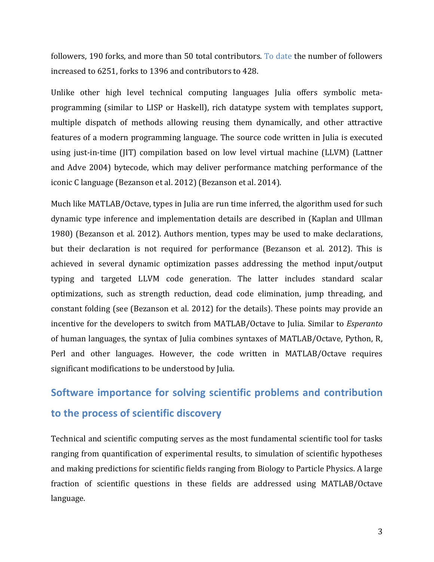followers, 190 forks, and more than 50 total contributors. To date the number of followers increased to 6251, forks to 1396 and contributors to 428.

Unlike other high level technical computing languages Julia offers symbolic metaprogramming (similar to LISP or Haskell), rich datatype system with templates support, multiple dispatch of methods allowing reusing them dynamically, and other attractive features of a modern programming language. The source code written in Julia is executed using just-in-time (JIT) compilation based on low level virtual machine (LLVM) (Lattner and Adve 2004) bytecode, which may deliver performance matching performance of the iconic C language (Bezanson et al. 2012) (Bezanson et al. 2014).

Much like MATLAB/Octave, types in Julia are run time inferred, the algorithm used for such dynamic type inference and implementation details are described in (Kaplan and Ullman 1980) (Bezanson et al. 2012). Authors mention, types may be used to make declarations, but their declaration is not required for performance (Bezanson et al. 2012). This is achieved in several dynamic optimization passes addressing the method input/output typing and targeted LLVM code generation. The latter includes standard scalar optimizations, such as strength reduction, dead code elimination, jump threading, and constant folding (see (Bezanson et al. 2012) for the details). These points may provide an incentive for the developers to switch from MATLAB/Octave to Julia. Similar to *Esperanto* of human languages, the syntax of Julia combines syntaxes of MATLAB/Octave, Python, R, Perl and other languages. However, the code written in MATLAB/Octave requires significant modifications to be understood by Julia.

## **Software importance for solving scientific problems and contribution** to the process of scientific discovery

Technical and scientific computing serves as the most fundamental scientific tool for tasks ranging from quantification of experimental results, to simulation of scientific hypotheses and making predictions for scientific fields ranging from Biology to Particle Physics. A large fraction of scientific questions in these fields are addressed using MATLAB/Octave language.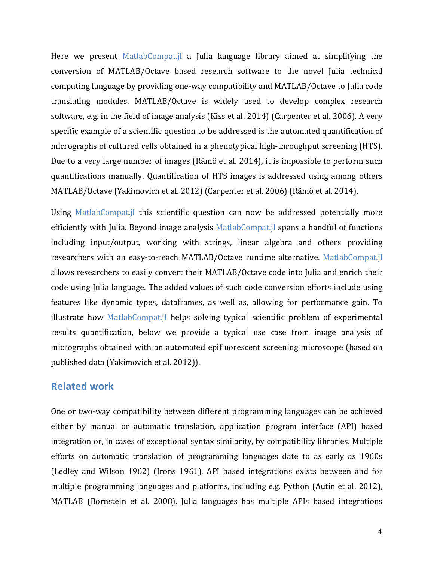Here we present MatlabCompat.jl a Julia language library aimed at simplifying the conversion of MATLAB/Octave based research software to the novel Julia technical computing language by providing one-way compatibility and MATLAB/Octave to Julia code translating modules. MATLAB/Octave is widely used to develop complex research software, e.g. in the field of image analysis (Kiss et al. 2014) (Carpenter et al. 2006). A very specific example of a scientific question to be addressed is the automated quantification of micrographs of cultured cells obtained in a phenotypical high-throughput screening (HTS). Due to a very large number of images (Rämö et al. 2014), it is impossible to perform such quantifications manually. Quantification of HTS images is addressed using among others MATLAB/Octave (Yakimovich et al. 2012) (Carpenter et al. 2006) (Rämö et al. 2014).

Using MatlabCompat.jl this scientific question can now be addressed potentially more efficiently with Julia. Beyond image analysis  $MathabCompat.$  spans a handful of functions including input/output, working with strings, linear algebra and others providing researchers with an easy-to-reach MATLAB/Octave runtime alternative. MatlabCompat.jl allows researchers to easily convert their MATLAB/Octave code into Julia and enrich their code using Julia language. The added values of such code conversion efforts include using features like dynamic types, dataframes, as well as, allowing for performance gain. To illustrate how MatlabCompat.jl helps solving typical scientific problem of experimental results quantification, below we provide a typical use case from image analysis of micrographs obtained with an automated epifluorescent screening microscope (based on published data (Yakimovich et al. 2012)).

#### **Related work**

One or two-way compatibility between different programming languages can be achieved either by manual or automatic translation, application program interface (API) based integration or, in cases of exceptional syntax similarity, by compatibility libraries. Multiple efforts on automatic translation of programming languages date to as early as 1960s (Ledley and Wilson 1962) (Irons 1961). API based integrations exists between and for multiple programming languages and platforms, including e.g. Python (Autin et al. 2012), MATLAB (Bornstein et al. 2008). Julia languages has multiple APIs based integrations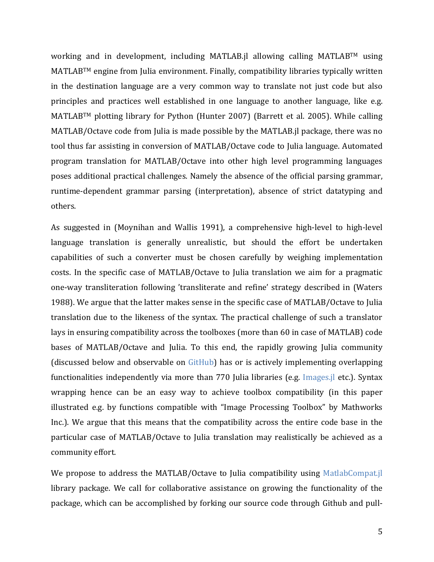working and in development, including MATLAB.jl allowing calling MATLABTM using  $MATLAB^{TM}$  engine from Julia environment. Finally, compatibility libraries typically written in the destination language are a very common way to translate not just code but also principles and practices well established in one language to another language, like e.g.  $MATLAB<sup>TM</sup>$  plotting library for Python (Hunter 2007) (Barrett et al. 2005). While calling MATLAB/Octave code from Julia is made possible by the MATLAB.jl package, there was no tool thus far assisting in conversion of MATLAB/Octave code to Julia language. Automated program translation for MATLAB/Octave into other high level programming languages poses additional practical challenges. Namely the absence of the official parsing grammar, runtime-dependent grammar parsing (interpretation), absence of strict datatyping and others.

As suggested in (Moynihan and Wallis 1991), a comprehensive high-level to high-level language translation is generally unrealistic, but should the effort be undertaken capabilities of such a converter must be chosen carefully by weighing implementation costs. In the specific case of MATLAB/Octave to Julia translation we aim for a pragmatic one-way transliteration following 'transliterate and refine' strategy described in (Waters 1988). We argue that the latter makes sense in the specific case of MATLAB/Octave to Julia translation due to the likeness of the syntax. The practical challenge of such a translator lays in ensuring compatibility across the toolboxes (more than 60 in case of MATLAB) code bases of MATLAB/Octave and Julia. To this end, the rapidly growing Julia community (discussed below and observable on  $Github$ ) has or is actively implementing overlapping functionalities independently via more than 770 Julia libraries (e.g. Images.jl etc.). Syntax wrapping hence can be an easy way to achieve toolbox compatibility (in this paper illustrated e.g. by functions compatible with "Image Processing Toolbox" by Mathworks Inc.). We argue that this means that the compatibility across the entire code base in the particular case of MATLAB/Octave to Julia translation may realistically be achieved as a community effort.

We propose to address the MATLAB/Octave to Julia compatibility using MatlabCompat.jl library package. We call for collaborative assistance on growing the functionality of the package, which can be accomplished by forking our source code through Github and pull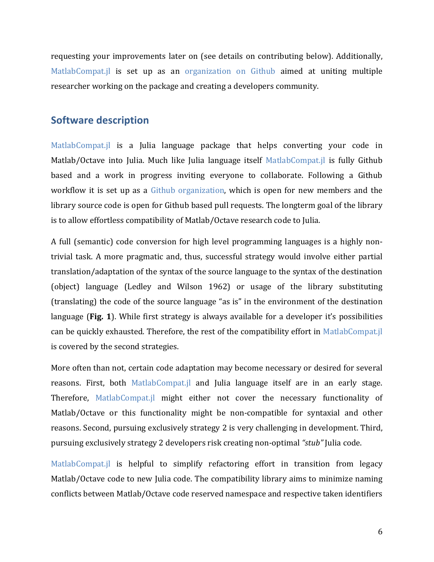requesting your improvements later on (see details on contributing below). Additionally, MatlabCompat.jl is set up as an organization on  $Github$  aimed at uniting multiple researcher working on the package and creating a developers community.

#### **Software description**

MatlabCompat.jl is a Julia language package that helps converting your code in Matlab/Octave into Julia. Much like Julia language itself MatlabCompat.jl is fully Github based and a work in progress inviting everyone to collaborate. Following a Github workflow it is set up as a Github organization, which is open for new members and the library source code is open for Github based pull requests. The longterm goal of the library is to allow effortless compatibility of Matlab/Octave research code to Julia.

A full (semantic) code conversion for high level programming languages is a highly nontrivial task. A more pragmatic and, thus, successful strategy would involve either partial translation/adaptation of the syntax of the source language to the syntax of the destination (object) language (Ledley and Wilson 1962) or usage of the library substituting (translating) the code of the source language "as is" in the environment of the destination language (Fig. 1). While first strategy is always available for a developer it's possibilities can be quickly exhausted. Therefore, the rest of the compatibility effort in MatlabCompat.jl is covered by the second strategies.

More often than not, certain code adaptation may become necessary or desired for several reasons. First, both MatlabCompat.jl and Julia language itself are in an early stage. Therefore, MatlabCompat.jl might either not cover the necessary functionality of Matlab/Octave or this functionality might be non-compatible for syntaxial and other reasons. Second, pursuing exclusively strategy 2 is very challenging in development. Third, pursuing exclusively strategy 2 developers risk creating non-optimal "stub" Julia code.

MatlabCompat.jl is helpful to simplify refactoring effort in transition from legacy Matlab/Octave code to new Julia code. The compatibility library aims to minimize naming conflicts between Matlab/Octave code reserved namespace and respective taken identifiers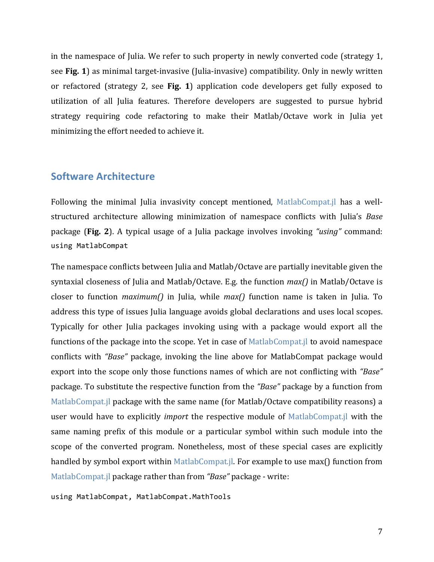in the namespace of Julia. We refer to such property in newly converted code (strategy 1, see **Fig. 1**) as minimal target-invasive (Julia-invasive) compatibility. Only in newly written or refactored (strategy 2, see Fig. 1) application code developers get fully exposed to utilization of all Julia features. Therefore developers are suggested to pursue hybrid strategy requiring code refactoring to make their Matlab/Octave work in Julia yet minimizing the effort needed to achieve it.

#### **Software Architecture**

Following the minimal Julia invasivity concept mentioned, MatlabCompat.jl has a wellstructured architecture allowing minimization of namespace conflicts with Julia's Base package (Fig. 2). A typical usage of a Julia package involves invoking *"using"* command: using MatlabCompat

The namespace conflicts between Julia and Matlab/Octave are partially inevitable given the syntaxial closeness of Julia and Matlab/Octave. E.g. the function  $max()$  in Matlab/Octave is closer to function *maximum()* in Julia, while *max()* function name is taken in Julia. To address this type of issues Julia language avoids global declarations and uses local scopes. Typically for other Julia packages invoking using with a package would export all the functions of the package into the scope. Yet in case of MatlabCompat.jl to avoid namespace conflicts with *"Base"* package, invoking the line above for MatlabCompat package would export into the scope only those functions names of which are not conflicting with *"Base"* package. To substitute the respective function from the *"Base"* package by a function from MatlabCompat.jl package with the same name (for Matlab/Octave compatibility reasons) a user would have to explicitly *import* the respective module of MatlabCompat.jl with the same naming prefix of this module or a particular symbol within such module into the scope of the converted program. Nonetheless, most of these special cases are explicitly handled by symbol export within MatlabCompat.jl. For example to use max $\bigcap$  function from MatlabCompat.jl package rather than from "Base" package - write:

using MatlabCompat, MatlabCompat.MathTools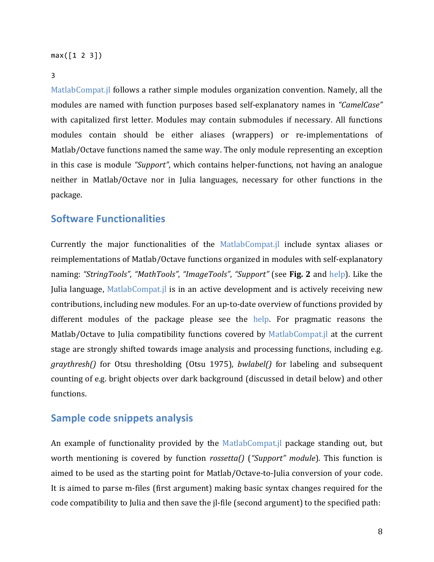#### $max([1 2 3])$

#### 3

MatlabCompat.jl follows a rather simple modules organization convention. Namely, all the modules are named with function purposes based self-explanatory names in "CamelCase" with capitalized first letter. Modules may contain submodules if necessary. All functions modules contain should be either aliases (wrappers) or re-implementations of Matlab/Octave functions named the same way. The only module representing an exception in this case is module *"Support"*, which contains helper-functions, not having an analogue neither in Matlab/Octave nor in Julia languages, necessary for other functions in the package.

#### **Software Functionalities**

Currently the major functionalities of the MatlabCompat. il include syntax aliases or reimplementations of Matlab/Octave functions organized in modules with self-explanatory naming: "StringTools", "MathTools", "ImageTools", "Support" (see **Fig. 2** and help). Like the Julia language, MatlabCompat.jl is in an active development and is actively receiving new contributions, including new modules. For an up-to-date overview of functions provided by different modules of the package please see the help. For pragmatic reasons the Matlab/Octave to Julia compatibility functions covered by  $Math$  at alabCompat.jl at the current stage are strongly shifted towards image analysis and processing functions, including e.g. *graythresh()* for Otsu thresholding (Otsu 1975), *bwlabel()* for labeling and subsequent counting of e.g. bright objects over dark background (discussed in detail below) and other functions.

#### **Sample code snippets analysis**

An example of functionality provided by the MatlabCompat.jl package standing out, but worth mentioning is covered by function *rossetta()* ("Support" module). This function is aimed to be used as the starting point for Matlab/Octave-to-Julia conversion of your code. It is aimed to parse m-files (first argument) making basic syntax changes required for the code compatibility to Julia and then save the *jl-file* (second argument) to the specified path: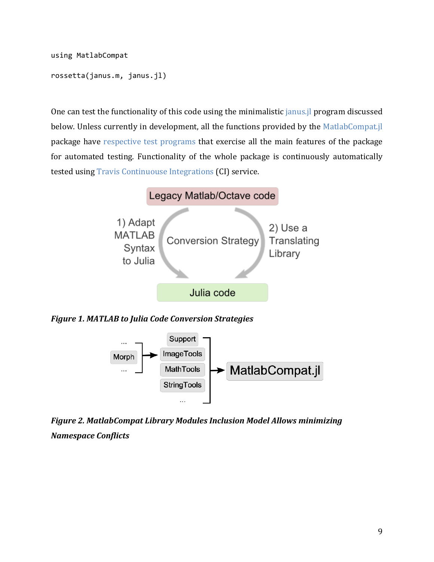using MatlabCompat

```
rossetta(janus.m, janus.jl)
```
One can test the functionality of this code using the minimalistic janus.jl program discussed below. Unless currently in development, all the functions provided by the MatlabCompat.jl package have respective test programs that exercise all the main features of the package for automated testing. Functionality of the whole package is continuously automatically tested using Travis Continuouse Integrations (CI) service.



*Figure 1. MATLAB to Julia Code Conversion Strategies*



**Figure 2. MatlabCompat Library Modules Inclusion Model Allows minimizing** *Namespace Conflicts*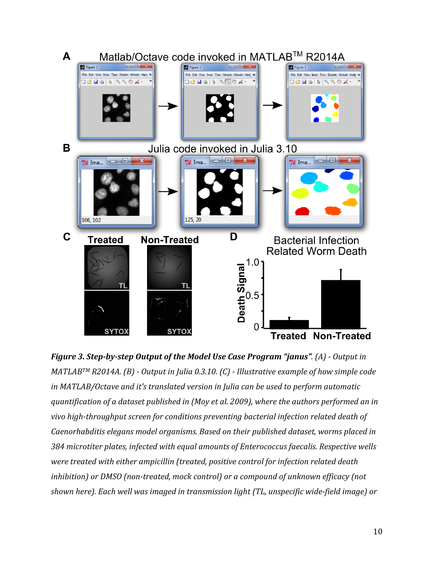

*Figure 3. Step-by-step Output of the Model Use Case Program "janus".* (A) - Output in *MATLABTM R2014A.* (B) - Output in Julia 0.3.10. (C) - Illustrative example of how simple code *in* MATLAB/Octave and it's translated version in Julia can be used to perform automatic quantification of a dataset published in (Moy et al. 2009), where the authors performed an in *vivo high-throughput screen for conditions preventing bacterial infection related death of Caenorhabditis* elegans model organisms. Based on their published dataset, worms placed in 384 microtiter plates, infected with equal amounts of Enterococcus faecalis. Respective wells *were treated with either ampicillin (treated, positive control for infection related death inhibition)* or DMSO (non-treated, mock control) or a compound of unknown efficacy (not shown here). Each well was imaged in transmission light (TL, unspecific wide-field image) or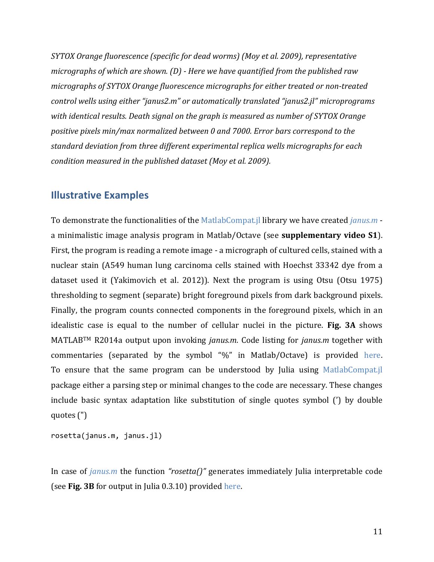*SYTOX* Orange fluorescence (specific for dead worms) (Moy et al. 2009), representative *micrographs of which are shown.* (D) - Here we have quantified from the published raw *micrographs of SYTOX Orange fluorescence micrographs for either treated or non-treated control wells using either "janus2.m" or automatically translated "janus2.jl" microprograms* with identical results. Death signal on the graph is measured as number of SYTOX Orange *positive pixels min/max normalized between 0 and 7000. Error bars correspond to the* standard deviation from three different experimental replica wells micrographs for each *condition measured in the published dataset (Moy et al. 2009).* 

#### **Illustrative Examples**

To demonstrate the functionalities of the MatlabCompat.jl library we have created *janus.m* a minimalistic image analysis program in Matlab/Octave (see **supplementary video S1**). First, the program is reading a remote image - a micrograph of cultured cells, stained with a nuclear stain (A549 human lung carcinoma cells stained with Hoechst 33342 dye from a dataset used it (Yakimovich et al. 2012)). Next the program is using Otsu (Otsu 1975) thresholding to segment (separate) bright foreground pixels from dark background pixels. Finally, the program counts connected components in the foreground pixels, which in an idealistic case is equal to the number of cellular nuclei in the picture. Fig. 3A shows MATLAB<sup>TM</sup> R2014a output upon invoking *janus.m*. Code listing for *janus.m* together with commentaries (separated by the symbol "%" in Matlab/Octave) is provided here. To ensure that the same program can be understood by Julia using MatlabCompat.jl package either a parsing step or minimal changes to the code are necessary. These changes include basic syntax adaptation like substitution of single quotes symbol (') by double quotes (")

rosetta(janus.m, janus.jl)

In case of *janus.m* the function *"rosetta()"* generates immediately Julia interpretable code (see Fig. 3B for output in Julia 0.3.10) provided here.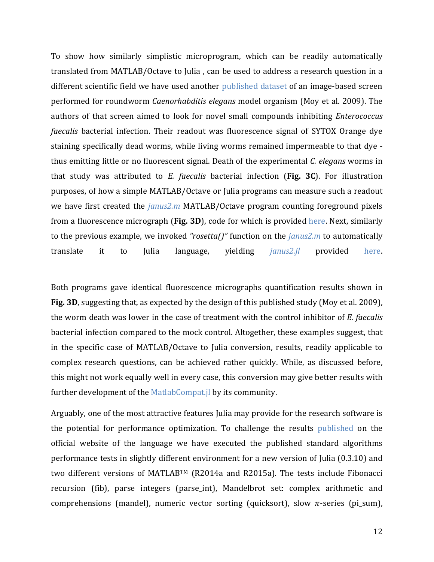To show how similarly simplistic microprogram, which can be readily automatically translated from MATLAB/Octave to Julia, can be used to address a research question in a different scientific field we have used another published dataset of an image-based screen performed for roundworm *Caenorhabditis elegans* model organism (Moy et al. 2009). The authors of that screen aimed to look for novel small compounds inhibiting *Enterococcus faecalis* bacterial infection. Their readout was fluorescence signal of SYTOX Orange dye staining specifically dead worms, while living worms remained impermeable to that dye thus emitting little or no fluorescent signal. Death of the experimental *C. elegans* worms in that study was attributed to *E. faecalis* bacterial infection (Fig. 3C). For illustration purposes, of how a simple MATLAB/Octave or Julia programs can measure such a readout we have first created the *janus2.m* MATLAB/Octave program counting foreground pixels from a fluorescence micrograph (Fig. 3D), code for which is provided here. Next, similarly to the previous example, we invoked "rosetta()" function on the *janus2.m* to automatically translate it to Julia language, yielding *janus2.jl* provided here.

Both programs gave identical fluorescence micrographs quantification results shown in **Fig. 3D**, suggesting that, as expected by the design of this published study (Moy et al. 2009), the worm death was lower in the case of treatment with the control inhibitor of *E. faecalis* bacterial infection compared to the mock control. Altogether, these examples suggest, that in the specific case of MATLAB/Octave to Julia conversion, results, readily applicable to complex research questions, can be achieved rather quickly. While, as discussed before, this might not work equally well in every case, this conversion may give better results with further development of the MatlabCompat.jl by its community.

Arguably, one of the most attractive features Julia may provide for the research software is the potential for performance optimization. To challenge the results published on the official website of the language we have executed the published standard algorithms performance tests in slightly different environment for a new version of Julia (0.3.10) and two different versions of MATLABTM (R2014a and R2015a). The tests include Fibonacci recursion (fib), parse integers (parse\_int), Mandelbrot set: complex arithmetic and comprehensions (mandel), numeric vector sorting (quicksort), slow  $\pi$ -series (pi\_sum),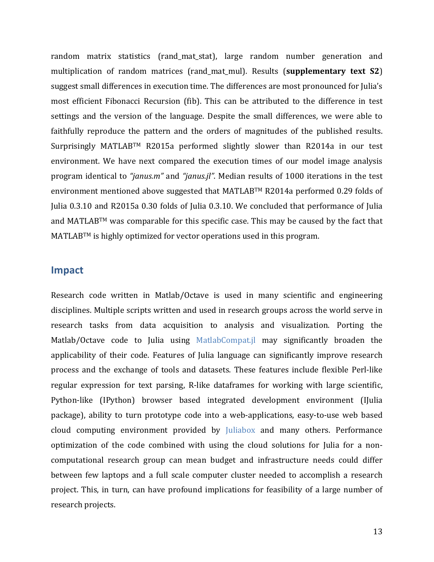random matrix statistics (rand\_mat\_stat), large random number generation and multiplication of random matrices (rand mat mul). Results (**supplementary text S2**) suggest small differences in execution time. The differences are most pronounced for Julia's most efficient Fibonacci Recursion (fib). This can be attributed to the difference in test settings and the version of the language. Despite the small differences, we were able to faithfully reproduce the pattern and the orders of magnitudes of the published results. Surprisingly MATLABTM R2015a performed slightly slower than R2014a in our test environment. We have next compared the execution times of our model image analysis program identical to "*janus.m*" and "*janus.jl*". Median results of 1000 iterations in the test environment mentioned above suggested that MATLABTM R2014a performed 0.29 folds of Julia 0.3.10 and R2015a 0.30 folds of Julia 0.3.10. We concluded that performance of Julia and MATLABTM was comparable for this specific case. This may be caused by the fact that  $MATLAB<sup>TM</sup>$  is highly optimized for vector operations used in this program.

#### **Impact**

Research code written in Matlab/Octave is used in many scientific and engineering disciplines. Multiple scripts written and used in research groups across the world serve in research tasks from data acquisition to analysis and visualization. Porting the Matlab/Octave code to Julia using MatlabCompat.jl may significantly broaden the applicability of their code. Features of Julia language can significantly improve research process and the exchange of tools and datasets. These features include flexible Perl-like regular expression for text parsing, R-like dataframes for working with large scientific, Python-like (IPython) browser based integrated development environment (IJulia package), ability to turn prototype code into a web-applications, easy-to-use web based cloud computing environment provided by Juliabox and many others. Performance optimization of the code combined with using the cloud solutions for Julia for a noncomputational research group can mean budget and infrastructure needs could differ between few laptops and a full scale computer cluster needed to accomplish a research project. This, in turn, can have profound implications for feasibility of a large number of research projects.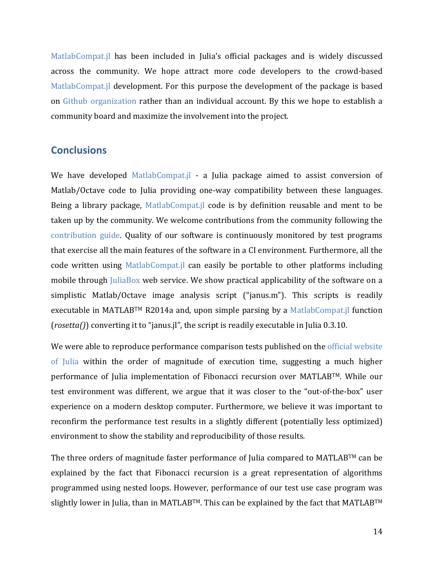MatlabCompat.jl has been included in Julia's official packages and is widely discussed across the community. We hope attract more code developers to the crowd-based MatlabCompat.jl development. For this purpose the development of the package is based on Github organization rather than an individual account. By this we hope to establish a community board and maximize the involvement into the project.

#### **Conclusions**

We have developed MatlabCompat.jl - a Julia package aimed to assist conversion of Matlab/Octave code to Julia providing one-way compatibility between these languages. Being a library package, MatlabCompat.  $i$  code is by definition reusable and ment to be taken up by the community. We welcome contributions from the community following the contribution guide. Quality of our software is continuously monitored by test programs that exercise all the main features of the software in a CI environment. Furthermore, all the code written using MatlabCompat.jl can easily be portable to other platforms including mobile through JuliaBox web service. We show practical applicability of the software on a simplistic Matlab/Octave image analysis script ("janus.m"). This scripts is readily executable in MATLABTM R2014a and, upon simple parsing by a MatlabCompat.jl function  $(rosetta())$  converting it to "janus.jl", the script is readily executable in Julia  $0.3.10$ .

We were able to reproduce performance comparison tests published on the official website of Julia within the order of magnitude of execution time, suggesting a much higher performance of Julia implementation of Fibonacci recursion over MATLABTM. While our test environment was different, we argue that it was closer to the "out-of-the-box" user experience on a modern desktop computer. Furthermore, we believe it was important to reconfirm the performance test results in a slightly different (potentially less optimized) environment to show the stability and reproducibility of those results.

The three orders of magnitude faster performance of Julia compared to  $MATLAB^{TM}$  can be explained by the fact that Fibonacci recursion is a great representation of algorithms programmed using nested loops. However, performance of our test use case program was slightly lower in Julia, than in MATLABTM. This can be explained by the fact that MATLABTM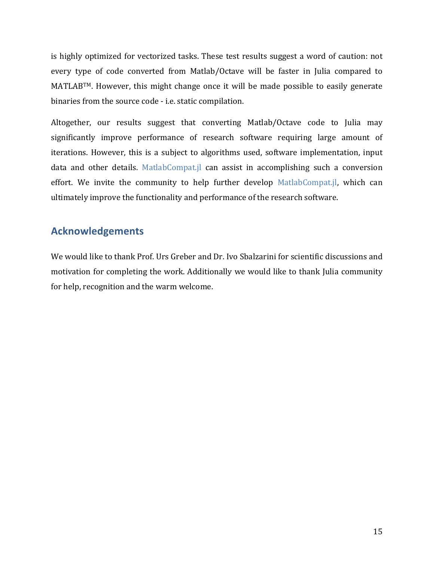is highly optimized for vectorized tasks. These test results suggest a word of caution: not every type of code converted from Matlab/Octave will be faster in Julia compared to  $MATLAB<sup>TM</sup>$ . However, this might change once it will be made possible to easily generate binaries from the source code - i.e. static compilation.

Altogether, our results suggest that converting Matlab/Octave code to Julia may significantly improve performance of research software requiring large amount of iterations. However, this is a subject to algorithms used, software implementation, input data and other details. MatlabCompat.jl can assist in accomplishing such a conversion effort. We invite the community to help further develop MatlabCompat.jl, which can ultimately improve the functionality and performance of the research software.

### **Acknowledgements**

We would like to thank Prof. Urs Greber and Dr. Ivo Sbalzarini for scientific discussions and motivation for completing the work. Additionally we would like to thank Julia community for help, recognition and the warm welcome.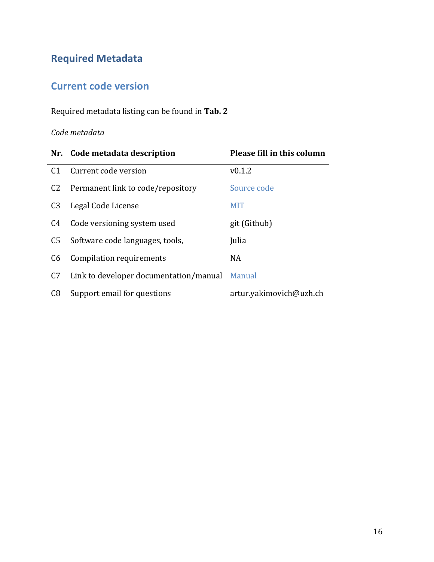## **Required Metadata**

## **Current code version**

Required metadata listing can be found in Tab. 2

#### *Code metadata*

|                | Nr. Code metadata description                 | Please fill in this column |
|----------------|-----------------------------------------------|----------------------------|
| C <sub>1</sub> | Current code version                          | v0.1.2                     |
| C <sub>2</sub> | Permanent link to code/repository             | Source code                |
| C <sub>3</sub> | Legal Code License                            | <b>MIT</b>                 |
| C4             | Code versioning system used                   | git (Github)               |
| C <sub>5</sub> | Software code languages, tools,               | Julia                      |
| C6             | <b>Compilation requirements</b>               | NA                         |
| C7             | Link to developer documentation/manual Manual |                            |
| C8             | Support email for questions                   | artur.yakimovich@uzh.ch    |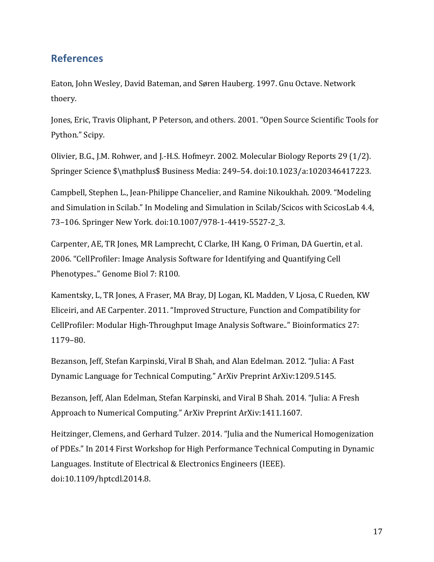### **References**

Eaton, John Wesley, David Bateman, and Søren Hauberg. 1997. Gnu Octave. Network thoery.

Jones, Eric, Travis Oliphant, P Peterson, and others. 2001. "Open Source Scientific Tools for Python." Scipy.

Olivier, B.G., J.M. Rohwer, and J.-H.S. Hofmeyr. 2002. Molecular Biology Reports 29 (1/2). Springer Science \$\mathplus\$ Business Media: 249-54. doi:10.1023/a:1020346417223.

Campbell, Stephen L., Jean-Philippe Chancelier, and Ramine Nikoukhah. 2009. "Modeling and Simulation in Scilab." In Modeling and Simulation in Scilab/Scicos with ScicosLab 4.4, 73-106. Springer New York. doi:10.1007/978-1-4419-5527-2\_3.

Carpenter, AE, TR Jones, MR Lamprecht, C Clarke, IH Kang, O Friman, DA Guertin, et al. 2006. "CellProfiler: Image Analysis Software for Identifying and Quantifying Cell Phenotypes.." Genome Biol 7: R100.

Kamentsky, L, TR Jones, A Fraser, MA Bray, DJ Logan, KL Madden, V Ljosa, C Rueden, KW Eliceiri, and AE Carpenter. 2011. "Improved Structure, Function and Compatibility for CellProfiler: Modular High-Throughput Image Analysis Software.." Bioinformatics 27: 1179–80.

Bezanson, Jeff, Stefan Karpinski, Viral B Shah, and Alan Edelman. 2012. "Julia: A Fast Dynamic Language for Technical Computing." ArXiv Preprint ArXiv:1209.5145.

Bezanson, Jeff, Alan Edelman, Stefan Karpinski, and Viral B Shah. 2014. "Julia: A Fresh Approach to Numerical Computing." ArXiv Preprint ArXiv:1411.1607.

Heitzinger, Clemens, and Gerhard Tulzer. 2014. "Julia and the Numerical Homogenization of PDEs." In 2014 First Workshop for High Performance Technical Computing in Dynamic Languages. Institute of Electrical & Electronics Engineers (IEEE). doi:10.1109/hptcdl.2014.8.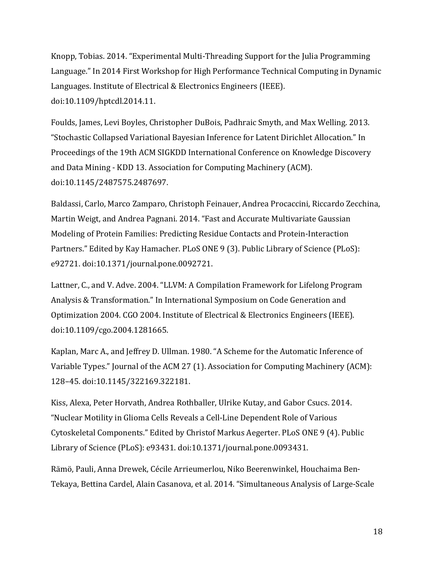Knopp, Tobias. 2014. "Experimental Multi-Threading Support for the Julia Programming Language." In 2014 First Workshop for High Performance Technical Computing in Dynamic Languages. Institute of Electrical & Electronics Engineers (IEEE). doi:10.1109/hptcdl.2014.11.

Foulds, James, Levi Boyles, Christopher DuBois, Padhraic Smyth, and Max Welling. 2013. "Stochastic Collapsed Variational Bayesian Inference for Latent Dirichlet Allocation." In Proceedings of the 19th ACM SIGKDD International Conference on Knowledge Discovery and Data Mining - KDD 13. Association for Computing Machinery (ACM). doi:10.1145/2487575.2487697.

Baldassi, Carlo, Marco Zamparo, Christoph Feinauer, Andrea Procaccini, Riccardo Zecchina, Martin Weigt, and Andrea Pagnani. 2014. "Fast and Accurate Multivariate Gaussian Modeling of Protein Families: Predicting Residue Contacts and Protein-Interaction Partners." Edited by Kay Hamacher. PLoS ONE 9 (3). Public Library of Science (PLoS): e92721. doi:10.1371/journal.pone.0092721.

Lattner, C., and V. Adve. 2004. "LLVM: A Compilation Framework for Lifelong Program Analysis & Transformation." In International Symposium on Code Generation and Optimization 2004. CGO 2004. Institute of Electrical & Electronics Engineers (IEEE). doi:10.1109/cgo.2004.1281665.

Kaplan, Marc A., and Jeffrey D. Ullman. 1980. "A Scheme for the Automatic Inference of Variable Types." Journal of the ACM 27 (1). Association for Computing Machinery (ACM): 128–45. doi:10.1145/322169.322181.

Kiss, Alexa, Peter Horvath, Andrea Rothballer, Ulrike Kutay, and Gabor Csucs. 2014. "Nuclear Motility in Glioma Cells Reveals a Cell-Line Dependent Role of Various Cytoskeletal Components." Edited by Christof Markus Aegerter. PLoS ONE 9 (4). Public Library of Science (PLoS): e93431. doi:10.1371/journal.pone.0093431.

Rämö, Pauli, Anna Drewek, Cécile Arrieumerlou, Niko Beerenwinkel, Houchaima Ben-Tekaya, Bettina Cardel, Alain Casanova, et al. 2014. "Simultaneous Analysis of Large-Scale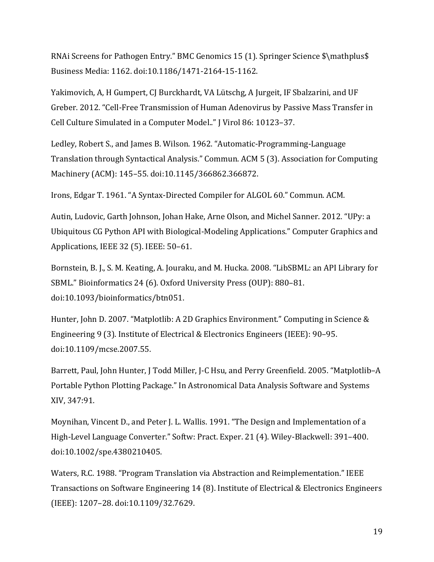RNAi Screens for Pathogen Entry." BMC Genomics 15 (1). Springer Science \$\mathplus\$ Business Media: 1162. doi:10.1186/1471-2164-15-1162.

Yakimovich, A, H Gumpert, CJ Burckhardt, VA Lütschg, A Jurgeit, IF Sbalzarini, and UF Greber. 2012. "Cell-Free Transmission of Human Adenovirus by Passive Mass Transfer in Cell Culture Simulated in a Computer Model.." J Virol 86: 10123-37.

Ledley, Robert S., and James B. Wilson. 1962. "Automatic-Programming-Language Translation through Syntactical Analysis." Commun. ACM 5 (3). Association for Computing Machinery (ACM): 145-55. doi:10.1145/366862.366872.

Irons, Edgar T. 1961. "A Syntax-Directed Compiler for ALGOL 60." Commun. ACM.

Autin, Ludovic, Garth Johnson, Johan Hake, Arne Olson, and Michel Sanner. 2012. "UPy: a Ubiquitous CG Python API with Biological-Modeling Applications." Computer Graphics and Applications, IEEE 32 (5). IEEE: 50-61.

Bornstein, B. J., S. M. Keating, A. Jouraku, and M. Hucka. 2008. "LibSBML: an API Library for SBML." Bioinformatics 24 (6). Oxford University Press (OUP): 880-81. doi:10.1093/bioinformatics/btn051.

Hunter, John D. 2007. "Matplotlib: A 2D Graphics Environment." Computing in Science & Engineering 9 (3). Institute of Electrical & Electronics Engineers (IEEE): 90-95. doi:10.1109/mcse.2007.55.

Barrett, Paul, John Hunter, J Todd Miller, J-C Hsu, and Perry Greenfield. 2005. "Matplotlib-A Portable Python Plotting Package." In Astronomical Data Analysis Software and Systems XIV, 347:91.

Moynihan, Vincent D., and Peter J. L. Wallis. 1991. "The Design and Implementation of a High-Level Language Converter." Softw: Pract. Exper. 21 (4). Wiley-Blackwell: 391-400. doi:10.1002/spe.4380210405.

Waters, R.C. 1988. "Program Translation via Abstraction and Reimplementation." IEEE Transactions on Software Engineering 14 (8). Institute of Electrical & Electronics Engineers (IEEE): 1207–28. doi:10.1109/32.7629.